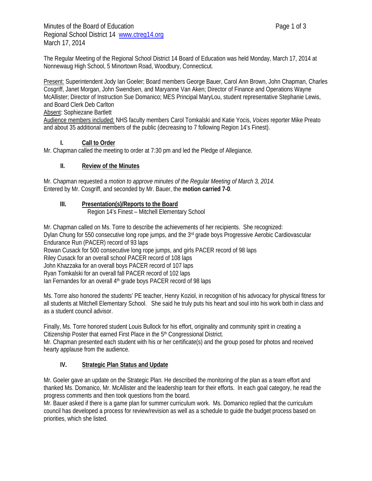The Regular Meeting of the Regional School District 14 Board of Education was held Monday, March 17, 2014 at Nonnewaug High School, 5 Minortown Road, Woodbury, Connecticut.

Present: Superintendent Jody Ian Goeler; Board members George Bauer, Carol Ann Brown, John Chapman, Charles Cosgriff, Janet Morgan, John Swendsen, and Maryanne Van Aken; Director of Finance and Operations Wayne McAllister; Director of Instruction Sue Domanico; MES Principal MaryLou, student representative Stephanie Lewis, and Board Clerk Deb Carlton

#### Absent: Sophiezane Bartlett

Audience members included: NHS faculty members Carol Tomkalski and Katie Yocis, *Voices* reporter Mike Preato and about 35 additional members of the public (decreasing to 7 following Region 14's Finest).

#### **I. Call to Order**

Mr. Chapman called the meeting to order at 7:30 pm and led the Pledge of Allegiance.

#### **II. Review of the Minutes**

Mr. Chapman requested a *motion to approve minutes of the Regular Meeting of March 3, 2014.* Entered by Mr. Cosgriff, and seconded by Mr. Bauer, the **motion carried 7-0**.

# **III. Presentation(s)/Reports to the Board**

Region 14's Finest – Mitchell Elementary School

Mr. Chapman called on Ms. Torre to describe the achievements of her recipients. She recognized: Dylan Chung for 550 consecutive long rope jumps, and the 3<sup>rd</sup> grade boys Progressive Aerobic Cardiovascular Endurance Run (PACER) record of 93 laps Rowan Cusack for 500 consecutive long rope jumps, and girls PACER record of 98 laps Riley Cusack for an overall school PACER record of 108 laps John Khazzaka for an overall boys PACER record of 107 laps Ryan Tomkalski for an overall fall PACER record of 102 laps lan Fernandes for an overall 4<sup>th</sup> grade boys PACER record of 98 laps

Ms. Torre also honored the students' PE teacher, Henry Koziol, in recognition of his advocacy for physical fitness for all students at Mitchell Elementary School. She said he truly puts his heart and soul into his work both in class and as a student council advisor.

Finally, Ms. Torre honored student Louis Bullock for his effort, originality and community spirit in creating a Citizenship Poster that earned First Place in the 5<sup>th</sup> Congressional District. Mr. Chapman presented each student with his or her certificate(s) and the group posed for photos and received

hearty applause from the audience.

#### **IV. Strategic Plan Status and Update**

Mr. Goeler gave an update on the Strategic Plan. He described the monitoring of the plan as a team effort and thanked Ms. Domanico, Mr. McAllister and the leadership team for their efforts. In each goal category, he read the progress comments and then took questions from the board.

Mr. Bauer asked if there is a game plan for summer curriculum work. Ms. Domanico replied that the curriculum council has developed a process for review/revision as well as a schedule to guide the budget process based on priorities, which she listed.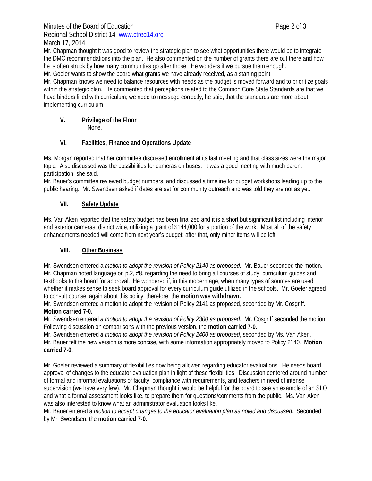Mr. Chapman thought it was good to review the strategic plan to see what opportunities there would be to integrate the DMC recommendations into the plan. He also commented on the number of grants there are out there and how he is often struck by how many communities go after those. He wonders if we pursue them enough.

Mr. Goeler wants to show the board what grants we have already received, as a starting point.

Mr. Chapman knows we need to balance resources with needs as the budget is moved forward and to prioritize goals within the strategic plan. He commented that perceptions related to the Common Core State Standards are that we have binders filled with curriculum; we need to message correctly, he said, that the standards are more about implementing curriculum.

## **V. Privilege of the Floor**

None.

#### **VI. Facilities, Finance and Operations Update**

Ms. Morgan reported that her committee discussed enrollment at its last meeting and that class sizes were the major topic. Also discussed was the possibilities for cameras on buses. It was a good meeting with much parent participation, she said.

Mr. Bauer's committee reviewed budget numbers, and discussed a timeline for budget workshops leading up to the public hearing. Mr. Swendsen asked if dates are set for community outreach and was told they are not as yet.

## **VII. Safety Update**

Ms. Van Aken reported that the safety budget has been finalized and it is a short but significant list including interior and exterior cameras, district wide, utilizing a grant of \$144,000 for a portion of the work. Most all of the safety enhancements needed will come from next year's budget; after that, only minor items will be left.

#### **VIII. Other Business**

Mr. Swendsen entered a *motion to adopt the revision of Policy 2140 as proposed.* Mr. Bauer seconded the motion. Mr. Chapman noted language on p.2, #8, regarding the need to bring all courses of study, curriculum guides and textbooks to the board for approval. He wondered if, in this modern age, when many types of sources are used, whether it makes sense to seek board approval for every curriculum guide utilized in the schools. Mr. Goeler agreed to consult counsel again about this policy; therefore, the **motion was withdrawn.**

Mr. Swendsen entered a motion to adopt the revision of Policy 2141 as proposed, seconded by Mr. Cosgriff. **Motion carried 7-0.** 

Mr. Swendsen entered *a motion to adopt the revision of Policy 2300 as proposed*. Mr. Cosgriff seconded the motion. Following discussion on comparisons with the previous version, the **motion carried 7-0.** 

Mr. Swendsen entered *a motion to adopt the revision of Policy 2400 as proposed*, seconded by Ms. Van Aken. Mr. Bauer felt the new version is more concise, with some information appropriately moved to Policy 2140. **Motion carried 7-0.** 

Mr. Goeler reviewed a summary of flexibilities now being allowed regarding educator evaluations. He needs board approval of changes to the educator evaluation plan in light of these flexibilities. Discussion centered around number of formal and informal evaluations of faculty, compliance with requirements, and teachers in need of intense supervision (we have very few). Mr. Chapman thought it would be helpful for the board to see an example of an SLO and what a formal assessment looks like, to prepare them for questions/comments from the public. Ms. Van Aken was also interested to know what an administrator evaluation looks like.

Mr. Bauer entered a *motion to accept changes to the educator evaluation plan as noted and discussed*. Seconded by Mr. Swendsen, the **motion carried 7-0.**